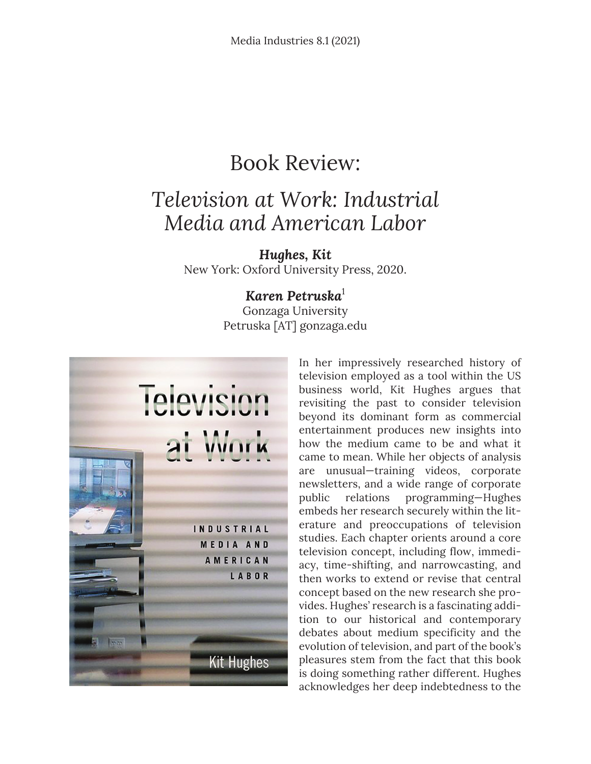## Book Review:

## *Television at Work: Industrial Media and American Labor*

*Hughes, Kit* New York: Oxford University Press, 2020.

## *Karen Petruska*<sup>1</sup>

Gonzaga University Petruska [AT] gonzaga.edu



In her impressively researched history of television employed as a tool within the US business world, Kit Hughes argues that revisiting the past to consider television beyond its dominant form as commercial entertainment produces new insights into how the medium came to be and what it came to mean. While her objects of analysis are unusual—training videos, corporate newsletters, and a wide range of corporate public relations programming—Hughes embeds her research securely within the literature and preoccupations of television studies. Each chapter orients around a core television concept, including flow, immediacy, time-shifting, and narrowcasting, and then works to extend or revise that central concept based on the new research she provides. Hughes' research is a fascinating addition to our historical and contemporary debates about medium specificity and the evolution of television, and part of the book's pleasures stem from the fact that this book is doing something rather different. Hughes acknowledges her deep indebtedness to the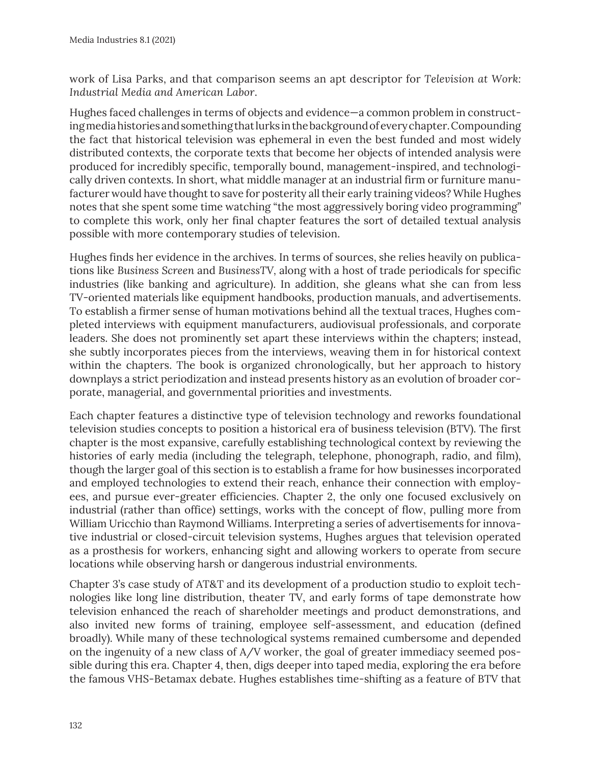work of Lisa Parks, and that comparison seems an apt descriptor for *Television at Work: Industrial Media and American Labor*.

Hughes faced challenges in terms of objects and evidence—a common problem in constructing media histories and something that lurks in the background of every chapter. Compounding the fact that historical television was ephemeral in even the best funded and most widely distributed contexts, the corporate texts that become her objects of intended analysis were produced for incredibly specific, temporally bound, management-inspired, and technologically driven contexts. In short, what middle manager at an industrial firm or furniture manufacturer would have thought to save for posterity all their early training videos? While Hughes notes that she spent some time watching "the most aggressively boring video programming" to complete this work, only her final chapter features the sort of detailed textual analysis possible with more contemporary studies of television.

Hughes finds her evidence in the archives. In terms of sources, she relies heavily on publications like *Business Screen* and *BusinessTV,* along with a host of trade periodicals for specific industries (like banking and agriculture). In addition, she gleans what she can from less TV-oriented materials like equipment handbooks, production manuals, and advertisements. To establish a firmer sense of human motivations behind all the textual traces, Hughes completed interviews with equipment manufacturers, audiovisual professionals, and corporate leaders. She does not prominently set apart these interviews within the chapters; instead, she subtly incorporates pieces from the interviews, weaving them in for historical context within the chapters. The book is organized chronologically, but her approach to history downplays a strict periodization and instead presents history as an evolution of broader corporate, managerial, and governmental priorities and investments.

Each chapter features a distinctive type of television technology and reworks foundational television studies concepts to position a historical era of business television (BTV). The first chapter is the most expansive, carefully establishing technological context by reviewing the histories of early media (including the telegraph, telephone, phonograph, radio, and film), though the larger goal of this section is to establish a frame for how businesses incorporated and employed technologies to extend their reach, enhance their connection with employees, and pursue ever-greater efficiencies. Chapter 2, the only one focused exclusively on industrial (rather than office) settings, works with the concept of flow, pulling more from William Uricchio than Raymond Williams. Interpreting a series of advertisements for innovative industrial or closed-circuit television systems, Hughes argues that television operated as a prosthesis for workers, enhancing sight and allowing workers to operate from secure locations while observing harsh or dangerous industrial environments.

Chapter 3's case study of AT&T and its development of a production studio to exploit technologies like long line distribution, theater TV, and early forms of tape demonstrate how television enhanced the reach of shareholder meetings and product demonstrations, and also invited new forms of training, employee self-assessment, and education (defined broadly). While many of these technological systems remained cumbersome and depended on the ingenuity of a new class of A/V worker, the goal of greater immediacy seemed possible during this era. Chapter 4, then, digs deeper into taped media, exploring the era before the famous VHS-Betamax debate. Hughes establishes time-shifting as a feature of BTV that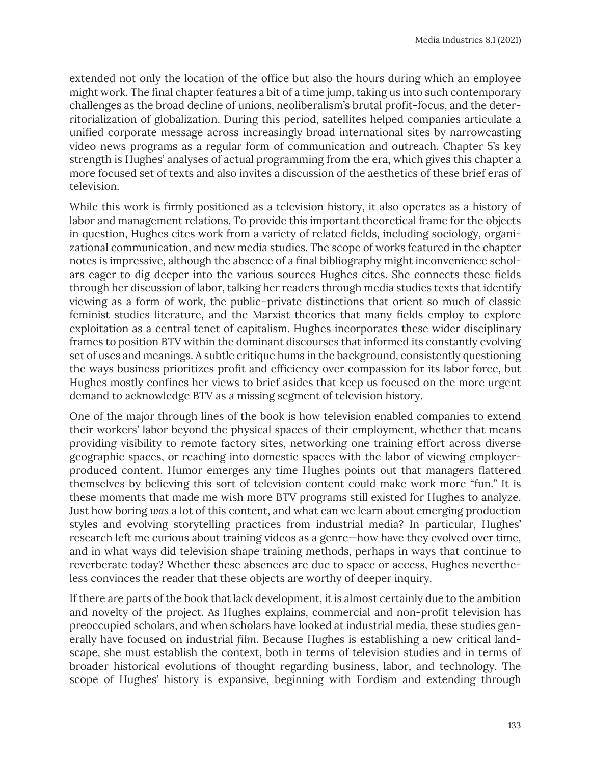extended not only the location of the office but also the hours during which an employee might work. The final chapter features a bit of a time jump, taking us into such contemporary challenges as the broad decline of unions, neoliberalism's brutal profit-focus, and the deterritorialization of globalization. During this period, satellites helped companies articulate a unified corporate message across increasingly broad international sites by narrowcasting video news programs as a regular form of communication and outreach. Chapter 5's key strength is Hughes' analyses of actual programming from the era, which gives this chapter a more focused set of texts and also invites a discussion of the aesthetics of these brief eras of television.

While this work is firmly positioned as a television history, it also operates as a history of labor and management relations. To provide this important theoretical frame for the objects in question, Hughes cites work from a variety of related fields, including sociology, organizational communication, and new media studies. The scope of works featured in the chapter notes is impressive, although the absence of a final bibliography might inconvenience scholars eager to dig deeper into the various sources Hughes cites. She connects these fields through her discussion of labor, talking her readers through media studies texts that identify viewing as a form of work, the public–private distinctions that orient so much of classic feminist studies literature, and the Marxist theories that many fields employ to explore exploitation as a central tenet of capitalism. Hughes incorporates these wider disciplinary frames to position BTV within the dominant discourses that informed its constantly evolving set of uses and meanings. A subtle critique hums in the background, consistently questioning the ways business prioritizes profit and efficiency over compassion for its labor force, but Hughes mostly confines her views to brief asides that keep us focused on the more urgent demand to acknowledge BTV as a missing segment of television history.

One of the major through lines of the book is how television enabled companies to extend their workers' labor beyond the physical spaces of their employment, whether that means providing visibility to remote factory sites, networking one training effort across diverse geographic spaces, or reaching into domestic spaces with the labor of viewing employerproduced content. Humor emerges any time Hughes points out that managers flattered themselves by believing this sort of television content could make work more "fun." It is these moments that made me wish more BTV programs still existed for Hughes to analyze. Just how boring *was* a lot of this content, and what can we learn about emerging production styles and evolving storytelling practices from industrial media? In particular, Hughes' research left me curious about training videos as a genre—how have they evolved over time, and in what ways did television shape training methods, perhaps in ways that continue to reverberate today? Whether these absences are due to space or access, Hughes nevertheless convinces the reader that these objects are worthy of deeper inquiry.

If there are parts of the book that lack development, it is almost certainly due to the ambition and novelty of the project. As Hughes explains, commercial and non-profit television has preoccupied scholars, and when scholars have looked at industrial media, these studies generally have focused on industrial *film*. Because Hughes is establishing a new critical landscape, she must establish the context, both in terms of television studies and in terms of broader historical evolutions of thought regarding business, labor, and technology. The scope of Hughes' history is expansive, beginning with Fordism and extending through